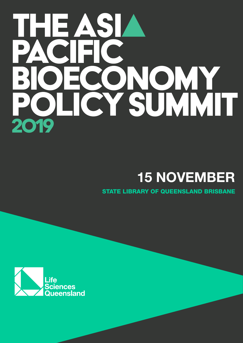# IHE ASL CONOMY

# **15 NOVEMBER**

STATE LIBRARY OF QUEENSLAND BRISBANE

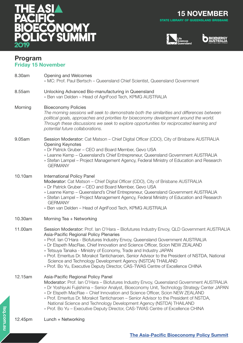

**15 NOVEMBER** STATE LIBRARY OF QUEENSLAND BRISBANE





### **Program Friday 15 November**

| 8.30am  | Opening and Welcomes<br>» MC: Prof. Paul Bertsch - Queensland Chief Scientist, Queensland Government                                                                                                                                                                                                                                                                                                                                                                                                                                                                                                                       |
|---------|----------------------------------------------------------------------------------------------------------------------------------------------------------------------------------------------------------------------------------------------------------------------------------------------------------------------------------------------------------------------------------------------------------------------------------------------------------------------------------------------------------------------------------------------------------------------------------------------------------------------------|
| 8.55am  | Unlocking Advanced Bio-manufacturing in Queensland<br>» Ben van Delden - Head of AgriFood Tech, KPMG AUSTRALIA                                                                                                                                                                                                                                                                                                                                                                                                                                                                                                             |
| Morning | <b>Bioeconomy Policies</b><br>The morning sessions will seek to demonstrate both the similarities and differences between<br>political goals, approaches and priorities for bioeconomy development around the world.<br>Through these discussions we seek to explore opportunities for reciprocated learning and<br>potential future collaborations.                                                                                                                                                                                                                                                                       |
| 9.05am  | Session Moderator: Cat Matson - Chief Digital Officer (CDO), City of Brisbane AUSTRALIA<br><b>Opening Keynotes</b><br>» Dr Patrick Gruber - CEO and Board Member, Gevo USA<br>» Leanne Kemp - Queensland's Chief Entrepreneur, Queensland Government AUSTRALIA<br>» Stefan Lampel – Project Management Agency, Federal Ministry of Education and Research<br><b>GERMANY</b>                                                                                                                                                                                                                                                |
| 10.10am | <b>International Policy Panel</b><br>Moderator: Cat Matson - Chief Digital Officer (CDO), City of Brisbane AUSTRALIA<br>» Dr Patrick Gruber - CEO and Board Member, Gevo USA<br>» Leanne Kemp - Queensland's Chief Entrepreneur, Queensland Government AUSTRALIA<br>» Stefan Lampel – Project Management Agency, Federal Ministry of Education and Research<br><b>GERMANY</b><br>» Ben van Delden – Head of AgriFood Tech, KPMG AUSTRALIA                                                                                                                                                                                  |
| 10.30am | Morning Tea + Networking                                                                                                                                                                                                                                                                                                                                                                                                                                                                                                                                                                                                   |
| 11.00am | Session Moderator: Prof. Ian O'Hara - Biofutures Industry Envoy, QLD Government AUSTRALIA<br>Asia-Pacific Regional Policy Plenaries<br>» Prof. Ian O'Hara - Biofutures Industry Envoy, Queensland Government AUSTRALIA<br>» Dr Elspeth MacRae, Chief Innovation and Science Officer, Scion NEW ZEALAND<br>» Tetsuya Tanaka - Ministry of Economy, Trade and Industry JAPAN<br>» Prof. Emeritus Dr. Morakot Tanticharoen, Senior Advisor to the President of NSTDA, National<br>Science and Technology Development Agency (NSTDA) THAILAND<br>» Prof. Bo Yu, Executive Deputy Director, CAS-TWAS Centre of Excellence CHINA |
| 12.15am | Asia-Pacific Regional Policy Panel<br>Moderator: Prof. Ian O'Hara - Biofutures Industry Envoy, Queensland Government AUSTRALIA<br>» Dr Yoshiyuki Fujishima - Senior Analyst, Bioeconomy Unit, Technology Strategy Center JAPAN<br>» Dr Elspeth MacRae - Chief Innovation and Science Officer, Scion NEW ZEALAND<br>» Prof. Emeritus Dr. Morakot Tanticharoen - Senior Advisor to the President of NSTDA,<br>National Science and Technology Development Agency (NSTDA) THAILAND<br>» Prof. Bo Yu - Executive Deputy Director, CAS-TWAS Centre of Excellence CHINA                                                          |
| 12.45pm | Lunch + Networking                                                                                                                                                                                                                                                                                                                                                                                                                                                                                                                                                                                                         |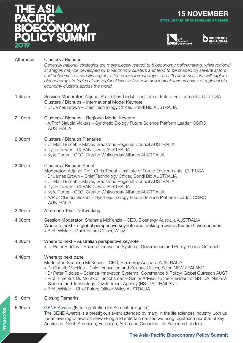

**15 NOVEMBER** STATE LIBRARY OF QUEENSLAND BRISBANE





| Afternoon | Clusters / Biohubs<br>Generally national strategies are more closely related to bioeconomy policymaking, while regional<br>strategies may be developed by bioeconomy clusters and tend to be shaped by several actors<br>and networks in a specific region, often in less formal ways. The afternoon sessions will explore<br>bioeconomy strategies at the regional level in Australia and look at various cases of regional bio<br>economy clusters across the world.                           |
|-----------|--------------------------------------------------------------------------------------------------------------------------------------------------------------------------------------------------------------------------------------------------------------------------------------------------------------------------------------------------------------------------------------------------------------------------------------------------------------------------------------------------|
| 1.45pm    | Session Moderator: Adjunct Prof. Chris Tindal - Institute of Future Environments, QUT USA<br>Clusters / Biohubs - International Model Keynote<br>» Dr James Brown - Chief Technology Officer, Bondi Bio AUSTRALIA                                                                                                                                                                                                                                                                                |
| 2.10pm    | Clusters / Biohubs - Regional Model Keynote<br>» A/Prof Claudia Vickers - Synthetic Biology Future Science Platform Leader, CSIRO<br><b>AUSTRALIA</b>                                                                                                                                                                                                                                                                                                                                            |
| 2.30pm    | <b>Clusters / Biohubs Plenaries</b><br>» Cr Matt Burnett - Mayor, Gladstone Regional Council AUSTRALIA<br>» Dylan Gower - CLEAN Cowra AUSTRALIA<br>» Kylie Porter - CEO, Greater Whitsunday Alliance AUSTRALIA                                                                                                                                                                                                                                                                                   |
| 3.00pm    | Clusters / Biohubs Panel<br>Moderator: Adjunct Prof. Chris Tindal - Institute of Future Environments, QUT USA<br>» Dr James Brown - Chief Technology Officer, Bondi Bio AUSTRALIA<br>» Cr Matt Burnett - Mayor, Gladstone Regional Council AUSTRALIA<br>» Dylan Gower - CLEAN Cowra AUSTRALIA<br>» Kylie Porter - CEO, Greater Whitsunday Alliance AUSTRALIA<br>» A/Prof Claudia Vickers - Synthetic Biology Future Science Platform Leader, CSIRO<br><b>AUSTRALIA</b>                           |
| 3.30pm    | Afternoon Tea + Networking                                                                                                                                                                                                                                                                                                                                                                                                                                                                       |
| 4.00pm    | Session Moderator: Shahana McKenzie - CEO, Bioenergy Australia AUSTRALIA<br>Where to next $-$ a global perspective keynote and looking towards the next two decades<br>» Brett Wiskar - Chief Future Officer, Wiley                                                                                                                                                                                                                                                                              |
| 4.20pm    | Where to next - Australian perspective keynote<br>» Dr Peter Riddles – Science-Innovation Systems; Governance and Policy; Global Outreach                                                                                                                                                                                                                                                                                                                                                        |
| 4.40pm    | Where to next panel<br>Moderator: Shahana McKenzie – CEO, Bioenergy Australia AUSTRALIA<br>» Dr Elspeth MacRae - Chief Innovation and Science Officer, Scion NEW ZEALAND<br>» Dr Peter Riddles - Science-Innovation Systems; Governance & Policy; Global Outreach AUST<br>» Prof. Emeritus Dr. Morakot Tanticharoen – Senior Advisor to the President of NSTDA, National<br>Science and Technology Development Agency (NSTDA) THAILAND<br>» Brett Wiskar - Chief Future Officer, Wiley AUSTRALIA |
| 5.10pm    | <b>Closing Remarks</b>                                                                                                                                                                                                                                                                                                                                                                                                                                                                           |
| 5.30pm    | <b>GENE Awards</b> (Free registration for Summit delegates)<br>The GENE Awards is a prestigious event attended by many in the life sciences industry. Join us<br>for an evening of awards networking and entertainment as we bring together a number of key<br>Australian, North American, European, Asian and Canadian Life Sciences Leaders.                                                                                                                                                   |